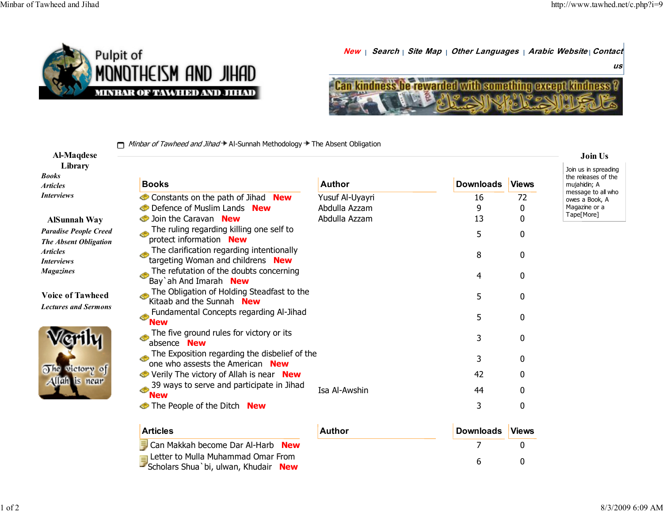

New  $\mid$  Search  $\mid$  Site Map  $\mid$  Other Languages  $\mid$  Arabic Website $\mid$  Contact

us



## Minbar of Tawheed and Jihad + Al-Sunnah Methodology + The Absent Obligation

| <b>Al-Maqdese</b>                                            |                                                                                          |                 |                  |              | Join Us                                                     |
|--------------------------------------------------------------|------------------------------------------------------------------------------------------|-----------------|------------------|--------------|-------------------------------------------------------------|
| Library<br><b>Books</b><br><b>Articles</b>                   | <b>Books</b>                                                                             | <b>Author</b>   | <b>Downloads</b> | <b>Views</b> | Join us in spreading<br>the releases of the<br>mujahidin; A |
| <b>Interviews</b>                                            | Constants on the path of Jihad New                                                       | Yusuf Al-Uyayri | 16               | 72           | message to all who<br>owes a Book, A                        |
|                                                              | Defence of Muslim Lands New                                                              | Abdulla Azzam   | 9                | 0            | Magazine or a<br>Tape <sup>[More]</sup>                     |
| <b>AlSunnah Way</b>                                          | Join the Caravan New                                                                     | Abdulla Azzam   | 13               | 0            |                                                             |
| <b>Paradise People Creed</b><br><b>The Absent Obligation</b> | The ruling regarding killing one self to<br>protect information New                      |                 | 5                | 0            |                                                             |
| <b>Articles</b><br><i>Interviews</i><br><b>Magazines</b>     | The clarification regarding intentionally<br>targeting Woman and childrens New           |                 | 8                | 0            |                                                             |
|                                                              | The refutation of the doubts concerning<br>Bay ah And Imarah New                         |                 | 4                | 0            |                                                             |
| <b>Voice of Tawheed</b><br><b>Lectures and Sermons</b>       | The Obligation of Holding Steadfast to the<br>Kitaab and the Sunnah New                  |                 | 5                | 0            |                                                             |
|                                                              | Fundamental Concepts regarding Al-Jihad<br>O<br><b>New</b>                               |                 | 5                | 0            |                                                             |
| The victory of<br>Allah is near                              | The five ground rules for victory or its<br>absence New                                  |                 | 3                | 0            |                                                             |
|                                                              | The Exposition regarding the disbelief of the<br>one who assests the American <b>New</b> |                 | 3                | 0            |                                                             |
|                                                              | Verily The victory of Allah is near <b>New</b>                                           |                 | 42               | 0            |                                                             |
|                                                              | 39 ways to serve and participate in Jihad<br>◈<br><b>New</b>                             | Isa Al-Awshin   | 44               | $\mathbf{0}$ |                                                             |
|                                                              | The People of the Ditch <b>New</b>                                                       |                 | 3                | 0            |                                                             |

| <b>Articles</b>                                                                            | <b>Author</b> | <b>Downloads</b> | <b>Views</b> |
|--------------------------------------------------------------------------------------------|---------------|------------------|--------------|
| <b>E</b> Can Makkah become Dar Al-Harb <b>New</b>                                          |               |                  |              |
| <b>Example: Letter to Mulla Muhammad Omar From</b><br>Scholars Shua bi, ulwan, Khudair New |               | h                |              |